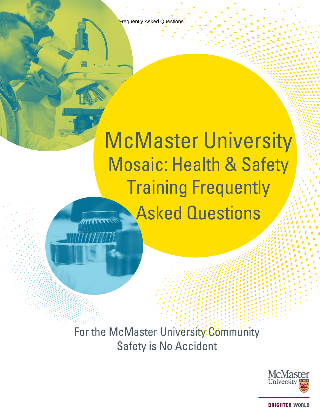Frequently Asked Questions

# **McMaster University Mosaic: Health & Safety Training Frequently Asked Questions**

For the McMaster University Community **Safety is No Accident** 

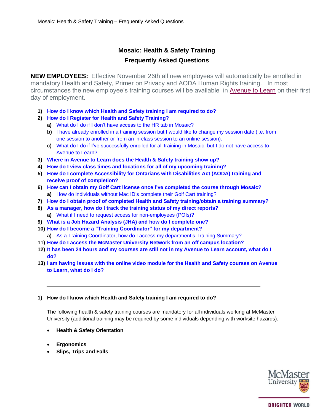# **Mosaic: Health & Safety Training Frequently Asked Questions**

**NEW EMPLOYEES:** Effective November 26th all new employees will automatically be enrolled in mandatory Health and Safety, Primer on Privacy and AODA Human Rights training. In most circumstances the new employee's training courses will be available in [Avenue to Learn](http://avenue.mcmaster.ca/) on their first day of employment.

- **1) How do I know which Health and Safety [training I am](#page-1-0) required to do?**
- **2) How do I [Register for Health and](#page-2-0) Safety Training?**
	- **a)** What do I do if I don't have access [to the HR tab in Mosaic?](#page-3-0)
	- **b)** I have already enrolled in a training session but I [would like to change my session date \(i.e.](#page-3-1) from one session to another or from an [in-class session to an](#page-3-1) online session).
	- **c)** What do I do [if I've successfully enrolled](#page-3-2) for all training in Mosaic, but I do not have access to [Avenue to Learn?](#page-3-2)
- **3) [Where in Avenue to](#page-4-0) Learn does the Health & Safety training show up?**
- **4) How do I view class times and locations for all of my [upcoming training?](#page-4-1)**
- **5) How do I [complete Accessibility](#page-4-2) for Ontarians with Disabilities Act (AODA) training and [receive proof of completion?](#page-4-2)**
- **6) How can I obtain my Golf Cart license once [I've completed the course](#page-4-3) through Mosaic? a)** How do individuals without Mac ID's [complete their](#page-4-4) Golf Cart training?
- **7) How do I obtain proof of completed Health and Safety training/obtain a training summary?**
- **8) As a manager, how do I track the [training status](#page-5-0) of my direct reports? a)** What if I need [to request access](#page-5-1) for non-employees (POIs)?
- **9) What is a Job Hazard Analysis (JHA) and how do I [complete one?](#page-6-0)**
- **10) How do I become a ["Training Coordinator"](#page-6-1) for my department?**
	- **a)** As a Training [Coordinator, how do I](#page-6-2) access my department's Training Summary?
- **11) How do I [access the McMaster University](#page-6-3) Network from an off campus location?**
- **12) It has been 24 hours and my courses are still not in my Avenue to [Learn account,](#page-7-0) what do I [do?](#page-7-0)**
- **13) I am having issues with [the online video module for the](#page-7-0) Health and Safety courses on Avenue to [Learn,](#page-7-0) what do I do?**

# <span id="page-1-0"></span>**1) How do I know which Health and Safety training I am required to do?**

The following health & safety training courses are mandatory for all individuals working at McMaster University (additional training may be required by some individuals depending with worksite hazards):

- **Health & Safety Orientation**
- **Ergonomics**
- **Slips, Trips and Falls**

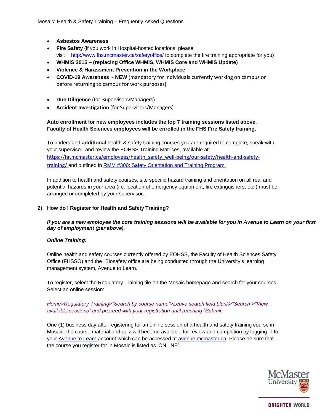Mosaic: Health & Safety Training – Frequently Asked Questions

- **Asbestos Awareness**
- **Fire Safety** (if you work in Hospital-hosted locations, please visit [http://www.fhs.mcmaster.ca/safetyoffice/ t](http://www.fhs.mcmaster.ca/safetyoffice/)o complete the fire training appropriate for you)
- **WHMIS 2015 – (replacing Office WHMIS, WHMIS Core and WHMIS Update)**
- **Violence & Harassment Prevention in the Workplace**
- **COVID-19 Awareness ~ NEW** (mandatory for individuals currently working on campus or before returning to campus for work purposes)
- **Due Diligence** (for Supervisors/Managers)
- **Accident Investigation** (for Supervisors/Managers)

# **Auto enrollment for new employees includes the top 7 training sessions listed above. Faculty of Health Sciences employees will be enrolled in the FHS Fire Safety training.**

To understand **additional** health & safety training courses you are required to complete, speak with your supervisor, and review the EOHSS Training Matrices, available at: [https://hr.mcmaster.ca/employees/health\\_safety\\_well-being/our-safety/health-and-safety](https://hr.mcmaster.ca/employees/health_safety_well-being/our-safety/health-and-safety-training/)[training/](https://hr.mcmaster.ca/employees/health_safety_well-being/our-safety/health-and-safety-training/) and outlined in RMM #300: Safety Orientation and [Training Program.](https://hr.mcmaster.ca/app/uploads/2019/01/RMM-300-Health-and-Safety-Training-Program-February-2015.pdf)

In addition to health and safety courses, site specific hazard training and orientation on all real and potential hazards in your area (i.e. location of emergency equipment, fire extinguishers, etc.) must be arranged or completed by your supervisor.

# <span id="page-2-0"></span>**2) How do I Register for Health and Safety Training?**

# *If you are a new employee the core training sessions will be available for you in Avenue to Learn on your first day of employment (per above).*

# *Online Training:*

Online health and safety courses currently offered by EOHSS, the Faculty of Health Sciences Safety Office (FHSSO) and the Biosafety office are being conducted through the University's learning management system, [Avenue](http://avenue.mcmaster.ca/) [to Learn.](http://avenue.mcmaster.ca/)

To register, select the Regulatory Training tile on the Mosaic homepage and search for your courses. Select an online session:

# *Home>Regulatory Training>"Search by course name">Leave search field blank>"Search">"View available sessions" and proceed with your registration until reaching "Submit"*

One (1) business day after registering for an online session of a health and safety training course in Mosaic, the course material and quiz will become available for review and completion by logging in to your Avenue [to Learn](http://avenue.mcmaster.ca/) account which can be accessed at [avenue.mcmaster.ca.](http://avenue.mcmaster.ca/) Please be sure that the course you register for in Mosaic is listed as 'ONLINE'.

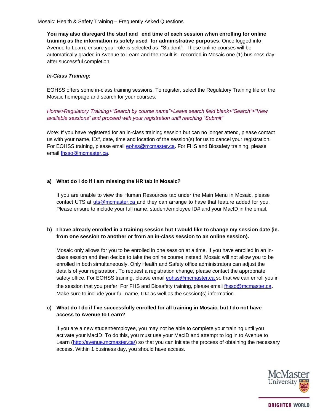**You may also disregard the start and end time of each session when enrolling for online training as the information is solely used for administrative purposes**. Once logged into Avenue to Learn, ensure your role is selected as "Student". These online courses will be automatically graded in Avenue to Learn and the result is recorded in Mosaic one (1) business day after successful completion.

# <span id="page-3-0"></span>*In-Class Training:*

EOHSS offers some in-class training sessions. To register, select the Regulatory Training tile on the Mosaic homepage and search for your courses:

*Home>Regulatory Training>"Search by course name">Leave search field blank>"Search">"View available sessions" and proceed with your registration until reaching "Submit"*

*Note:* If you have registered for an in-class training session but can no longer attend, please contact us with your name, ID#, date, time and location of the session(s) for us to cancel your registration. For EOHSS training, please email **cohss@mcmaster.ca.** For FHS and Biosafety training, please email [fhsso@mcmaster.ca.](mailto:fhsso@mcmaster.ca)

# **a) What do I do if I am missing the HR tab in Mosaic?**

If you are unable to view the Human Resources tab under the Main Menu in Mosaic, please contact UTS at [uts@mcmaster.ca a](mailto:uts@mcmaster.ca)nd they can arrange to have that feature added for you. Please ensure to include your full name, student/employee ID# and your MacID in the email.

# <span id="page-3-1"></span>**b) I have already enrolled in a training session but I would like to change my session date (ie. from one session to another or from an in-class session to an online session).**

Mosaic only allows for you to be enrolled in one session at a time. If you have enrolled in an inclass session and then decide to take the online course instead, Mosaic will not allow you to be enrolled in both simultaneously. Only Health and Safety office administrators can adjust the details of your registration. To request a registration change, please contact the appropriate safety office. For EOHSS training, please email **eohss@mcmaster.ca** so that we can enroll you in the session that you prefer. For FHS and Biosafety training, please email [fhsso@mcmaster.ca](mailto:fhsso@mcmaster.ca). Make sure to include your full name, ID# as well as the session(s) information.

# <span id="page-3-2"></span>**c) What do I do if I've successfully enrolled for all training in Mosaic, but I do not have access to Avenue to Learn?**

If you are a new student/employee, you may not be able to complete your training until you activate your MacID. To do this, you must use your MacID and attempt to log in to Avenue to Learn [\(http://avenue.mcmaster.ca/\)](http://avenue.mcmaster.ca/) so that you can initiate the process of obtaining the necessary access. Within 1 business day, you should have access.

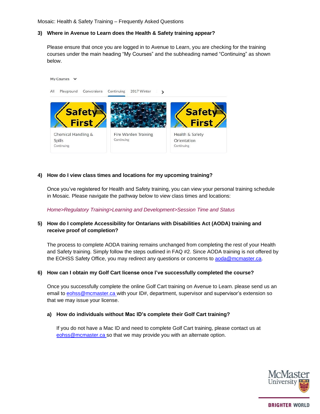Mosaic: Health & Safety Training – Frequently Asked Questions

#### <span id="page-4-0"></span>**3) Where in Avenue to Learn does the Health & Safety training appear?**

Please ensure that once you are logged in to Avenue to Learn, you are checking for the training courses under the main heading "My Courses" and the subheading named "Continuing" as shown below.



#### <span id="page-4-1"></span>**4) How do I view class times and locations for my upcoming training?**

Once you've registered for Health and Safety training, you can view your personal training schedule in Mosaic. Please navigate the pathway below to view class times and locations:

*Home>Regulatory Training>Learning and Development>Session Time and Status*

# <span id="page-4-2"></span>**5) How do I complete Accessibility for Ontarians with Disabilities Act (AODA) training and receive proof of completion?**

The process to complete AODA training remains unchanged from completing the rest of your Health and Safety training. Simply follow the steps outlined in FAQ #2. Since AODA training is not offered by the EOHSS Safety Office, you may redirect any questions or concerns to [aoda@mcmaster.ca.](mailto:aoda@mcmaster.ca)

#### <span id="page-4-3"></span>**6) How can I obtain my Golf Cart license once I've successfully completed the course?**

Once you successfully complete the online Golf Cart training on Avenue to Learn. please send us an email to [eohss@mcmaster.ca w](mailto:eohss@mcmaster.ca)ith your ID#, department, supervisor and supervisor's extension so that we may issue your license.

#### <span id="page-4-4"></span>**a) How do individuals without Mac ID's complete their Golf Cart training?**

If you do not have a Mac ID and need to complete Golf Cart training, please contact us at [eohss@mcmaster.ca](mailto:eohss@mcmaster.ca) so that we may provide you with an alternate option.

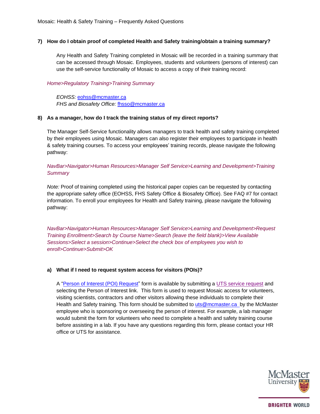# **7) How do I obtain proof of completed Health and Safety training/obtain a training summary?**

Any Health and Safety Training completed in Mosaic will be recorded in a training summary that can be accessed through Mosaic. Employees, students and volunteers (persons of interest) can use the self-service functionality of Mosaic to access a copy of their training record:

# *Home>Regulatory Training>Training Summary*

*EOHSS:* [eohss@mcmaster.ca](mailto:eohss@mcmaster.ca) *FHS and Biosafety Office:* [fhsso@mcmaster.ca](mailto:fhsso@mcmaster.ca)

#### <span id="page-5-0"></span>**8) As a manager, how do I track the training status of my direct reports?**

The Manager Self-Service functionality allows managers to track health and safety training completed by their employees using Mosaic. Managers can also register their employees to participate in health & safety training courses. To access your employees' training records, please navigate the following pathway:

# *NavBar>Navigator>Human Resources>Manager Self Service>Learning and Development>Training Summary*

*Note:* Proof of training completed using the historical paper copies can be requested by contacting the appropriate safety office (EOHSS, FHS Safety Office & Biosafety Office). See FAQ #7 for contact information. To enroll your employees for Health and Safety training, please navigate the following pathway:

*NavBar>Navigator>Human Resources>Manager Self Service>Learning and Development>Request Training Enrollment>Search by Course Name>Search (leave the field blank)>View Available Sessions>Select a session>Continue>Select the check box of employees you wish to enroll>Continue>Submit>OK*

# <span id="page-5-1"></span>**a) What if I need to request system access for visitors (POIs)?**

A ["Person of](https://epprd.mcmaster.ca/psp/prepprd/EMPLOYEE/EMPL/c/EPPCM_CONTENT_MGMT.EPPCM_PUB_VIEWER.GBL?Action=U&EPPCM_CONTENTID=3091&EPPCM_CATG_TYPE=B&CONTEXTIDPARAMS=EPPCM_CONTENTID%3A3091&cmd=login) Interest (POI) Request" form is available by submitting a [UTS service request](https://macservicedesk.mcmaster.ca/servicedesk/customer/portal/22) and selecting the Person of Interest link. This form is used to request Mosaic access for volunteers, visiting scientists, contractors and other visitors allowing these individuals to complete their Health and Safety training. This form should be submitted to [uts@mcmaster.ca](mailto:uts@mcmaster.ca) by the McMaster employee who is sponsoring or overseeing the person of interest. For example, a lab manager would submit the form for volunteers who need to complete a health and safety training course before assisting in a lab. If you have any questions regarding this form, please contact your HR office or UTS for assistance.

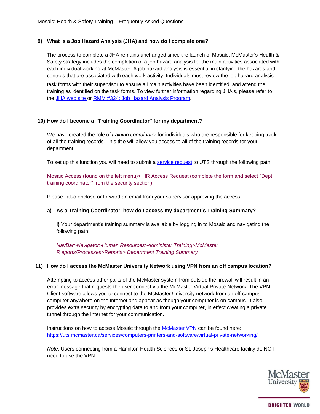#### <span id="page-6-0"></span>**9) What is a Job Hazard Analysis (JHA) and how do I complete one?**

The process to complete a JHA remains unchanged since the launch of Mosaic. McMaster's Health & Safety strategy includes the completion of a job hazard analysis for the main activities associated with each individual working at McMaster. A job hazard analysis is essential in clarifying the hazards and controls that are associated with each work activity. Individuals must review the job hazard analysis

task forms with their supervisor to ensure all main activities have been identified, and attend the training as identified on the task forms. To view further information regarding JHA's, please refer to the [JHA](https://phaweb02.mcmaster.ca/) web site or RMM #324: [Job Hazard Analysis](https://hr.mcmaster.ca/app/uploads/2019/01/RMM-324-Job-Hazard-Analysis-Program-September-2013.pdf) Program.

# <span id="page-6-1"></span>**10) How do I become a "Training Coordinator" for my department?**

We have created the role of *training coordinator* for individuals who are responsible for keeping track of all the training records. This title will allow you access to all of the training records for your department.

To set up this function you will need to submit [a service](https://macservicedesk.mcmaster.ca/servicedesk/customer/portal/22) request to UTS through the following path:

Mosaic Access (found on the left menu)> HR Access Request (complete the form and select "Dept training coordinator" from the security section)

Please also enclose or forward an email from your supervisor approving the access.

# <span id="page-6-2"></span>**a) As a Training Coordinator, how do I access my department's Training Summary?**

**i)** Your department's training summary is available by logging in to Mosaic and navigating the following path:

*NavBar>Navigator>Human Resources>Administer Training>McMaster R eports/Processes>Reports> Department Training Summary*

#### <span id="page-6-3"></span>**11) How do I access the McMaster University Network using VPN from an off campus location?**

Attempting to access other parts of the McMaster system from outside the firewall will result in an error message that requests the user connect via the McMaster Virtual Private Network. The VPN Client software allows you to connect to the McMaster University network from an off-campus computer anywhere on the Internet and appear as though your computer is on campus. It also provides extra security by encrypting data to and from your computer, in effect creating a private tunnel through the Internet for your communication.

Instructions on how to access Mosaic through th[e McMaster VPN](http://www.mcmaster.ca/uts/network/vpn/) can be found here: [https://uts.mcmaster.ca/services/computers-printers-and-software/virtual-private-networking/](http://www.mcmaster.ca/uts/network/vpn/)

*Note:* Users connecting from a Hamilton Health Sciences or St. Joseph's Healthcare facility do NOT need to use the VPN.